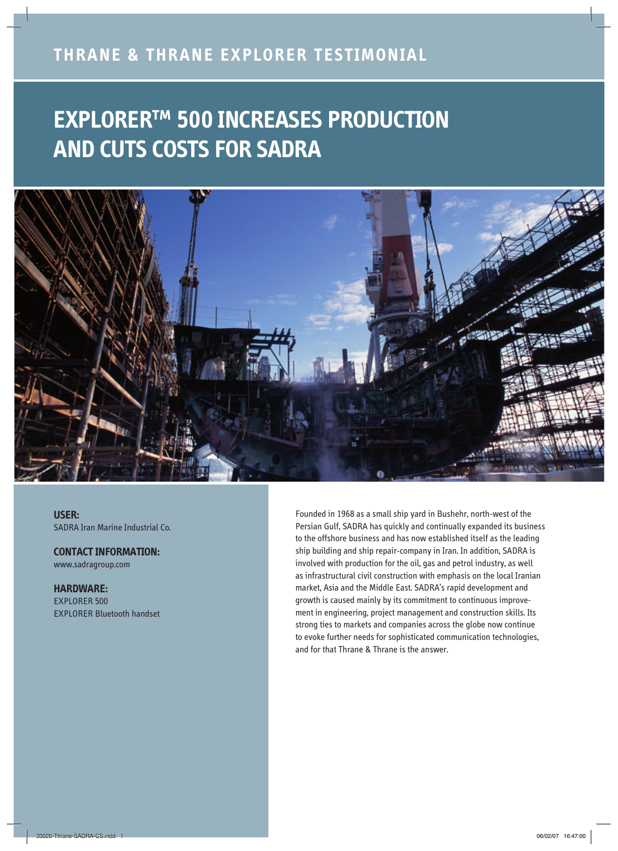### **THRANE & THRANE EXPLORER TESTIMONIAL**

# **EXPLORER™ 500 INCREASES PRODUCTION AND CUTS COSTS FOR SADRA**



**USER:**  SADRA Iran Marine Industrial Co.

**CONTACT INFORMATION:**  www.sadragroup.com

**HARDWARE:**  EXPLORER 500 EXPLORER Bluetooth handset Founded in 1968 as a small ship yard in Bushehr, north-west of the Persian Gulf, SADRA has quickly and continually expanded its business to the offshore business and has now established itself as the leading ship building and ship repair-company in Iran. In addition, SADRA is involved with production for the oil, gas and petrol industry, as well as infrastructural civil construction with emphasis on the local Iranian market, Asia and the Middle East. SADRA's rapid development and growth is caused mainly by its commitment to continuous improvement in engineering, project management and construction skills. Its strong ties to markets and companies across the globe now continue to evoke further needs for sophisticated communication technologies, and for that Thrane & Thrane is the answer.